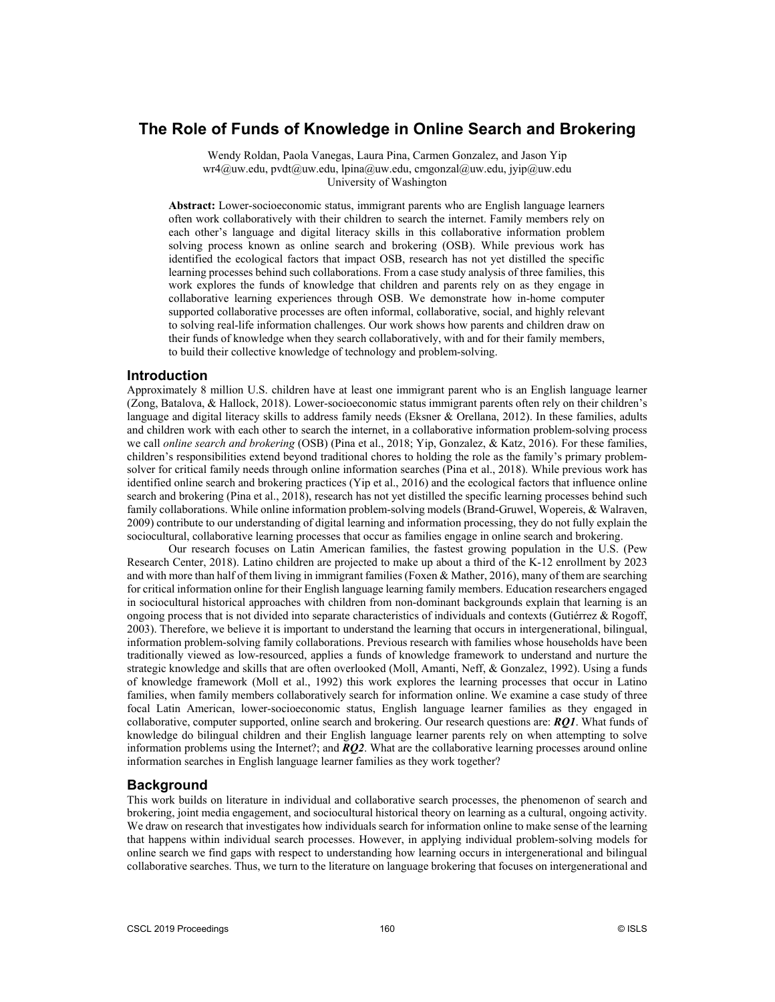# **The Role of Funds of Knowledge in Online Search and Brokering**

Wendy Roldan, Paola Vanegas, Laura Pina, Carmen Gonzalez, and Jason Yip wr4@uw.edu, pvdt@uw.edu, lpina@uw.edu, cmgonzal@uw.edu, jyip@uw.edu University of Washington

**Abstract:** Lower-socioeconomic status, immigrant parents who are English language learners often work collaboratively with their children to search the internet. Family members rely on each other's language and digital literacy skills in this collaborative information problem solving process known as online search and brokering (OSB). While previous work has identified the ecological factors that impact OSB, research has not yet distilled the specific learning processes behind such collaborations. From a case study analysis of three families, this work explores the funds of knowledge that children and parents rely on as they engage in collaborative learning experiences through OSB. We demonstrate how in-home computer supported collaborative processes are often informal, collaborative, social, and highly relevant to solving real-life information challenges. Our work shows how parents and children draw on their funds of knowledge when they search collaboratively, with and for their family members, to build their collective knowledge of technology and problem-solving.

### **Introduction**

Approximately 8 million U.S. children have at least one immigrant parent who is an English language learner (Zong, Batalova, & Hallock, 2018). Lower-socioeconomic status immigrant parents often rely on their children's language and digital literacy skills to address family needs (Eksner & Orellana, 2012). In these families, adults and children work with each other to search the internet, in a collaborative information problem-solving process we call *online search and brokering* (OSB) (Pina et al., 2018; Yip, Gonzalez, & Katz, 2016). For these families, children's responsibilities extend beyond traditional chores to holding the role as the family's primary problemsolver for critical family needs through online information searches (Pina et al., 2018). While previous work has identified online search and brokering practices (Yip et al., 2016) and the ecological factors that influence online search and brokering (Pina et al., 2018), research has not yet distilled the specific learning processes behind such family collaborations. While online information problem-solving models (Brand-Gruwel, Wopereis, & Walraven, 2009) contribute to our understanding of digital learning and information processing, they do not fully explain the sociocultural, collaborative learning processes that occur as families engage in online search and brokering.

Our research focuses on Latin American families, the fastest growing population in the U.S. (Pew Research Center, 2018). Latino children are projected to make up about a third of the K-12 enrollment by 2023 and with more than half of them living in immigrant families (Foxen & Mather, 2016), many of them are searching for critical information online for their English language learning family members. Education researchers engaged in sociocultural historical approaches with children from non-dominant backgrounds explain that learning is an ongoing process that is not divided into separate characteristics of individuals and contexts (Gutiérrez & Rogoff, 2003). Therefore, we believe it is important to understand the learning that occurs in intergenerational, bilingual, information problem-solving family collaborations. Previous research with families whose households have been traditionally viewed as low-resourced, applies a funds of knowledge framework to understand and nurture the strategic knowledge and skills that are often overlooked (Moll, Amanti, Neff, & Gonzalez, 1992). Using a funds of knowledge framework (Moll et al., 1992) this work explores the learning processes that occur in Latino families, when family members collaboratively search for information online. We examine a case study of three focal Latin American, lower-socioeconomic status, English language learner families as they engaged in collaborative, computer supported, online search and brokering. Our research questions are: *RQ1*. What funds of knowledge do bilingual children and their English language learner parents rely on when attempting to solve information problems using the Internet?; and *RQ2*. What are the collaborative learning processes around online information searches in English language learner families as they work together?

### **Background**

This work builds on literature in individual and collaborative search processes, the phenomenon of search and brokering, joint media engagement, and sociocultural historical theory on learning as a cultural, ongoing activity. We draw on research that investigates how individuals search for information online to make sense of the learning that happens within individual search processes. However, in applying individual problem-solving models for online search we find gaps with respect to understanding how learning occurs in intergenerational and bilingual collaborative searches. Thus, we turn to the literature on language brokering that focuses on intergenerational and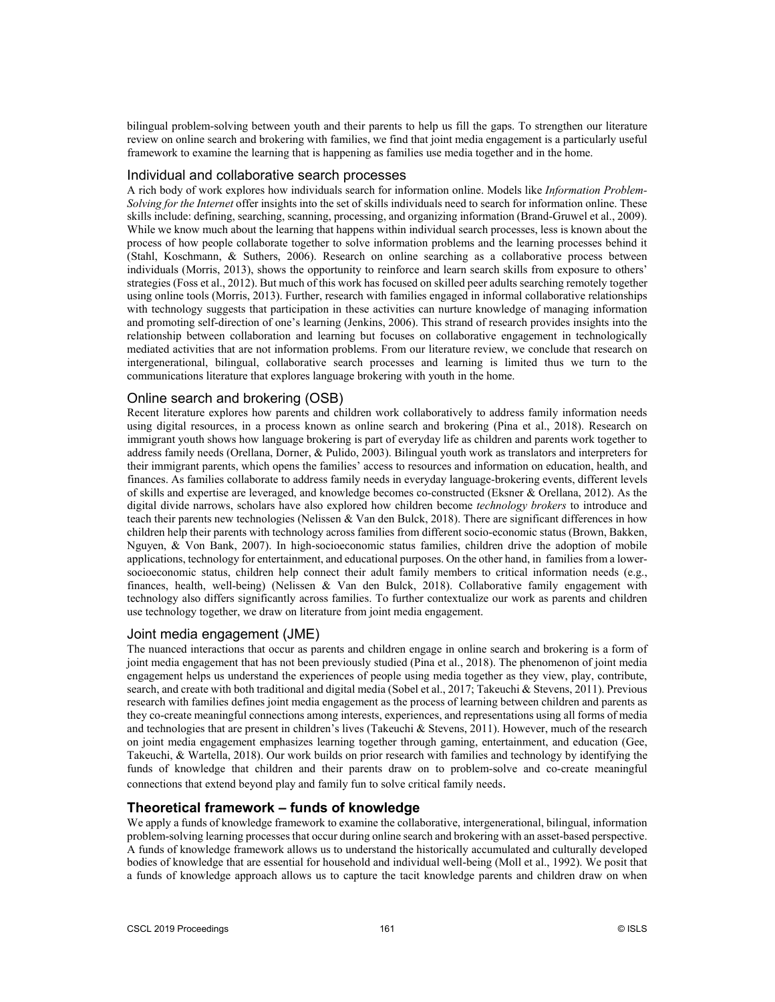bilingual problem-solving between youth and their parents to help us fill the gaps. To strengthen our literature review on online search and brokering with families, we find that joint media engagement is a particularly useful framework to examine the learning that is happening as families use media together and in the home.

### Individual and collaborative search processes

A rich body of work explores how individuals search for information online. Models like *Information Problem-Solving for the Internet* offer insights into the set of skills individuals need to search for information online. These skills include: defining, searching, scanning, processing, and organizing information (Brand-Gruwel et al., 2009). While we know much about the learning that happens within individual search processes, less is known about the process of how people collaborate together to solve information problems and the learning processes behind it (Stahl, Koschmann, & Suthers, 2006). Research on online searching as a collaborative process between individuals (Morris, 2013), shows the opportunity to reinforce and learn search skills from exposure to others' strategies (Foss et al., 2012). But much of this work has focused on skilled peer adults searching remotely together using online tools (Morris, 2013). Further, research with families engaged in informal collaborative relationships with technology suggests that participation in these activities can nurture knowledge of managing information and promoting self-direction of one's learning (Jenkins, 2006). This strand of research provides insights into the relationship between collaboration and learning but focuses on collaborative engagement in technologically mediated activities that are not information problems. From our literature review, we conclude that research on intergenerational, bilingual, collaborative search processes and learning is limited thus we turn to the communications literature that explores language brokering with youth in the home.

## Online search and brokering (OSB)

Recent literature explores how parents and children work collaboratively to address family information needs using digital resources, in a process known as online search and brokering (Pina et al., 2018). Research on immigrant youth shows how language brokering is part of everyday life as children and parents work together to address family needs (Orellana, Dorner, & Pulido, 2003). Bilingual youth work as translators and interpreters for their immigrant parents, which opens the families' access to resources and information on education, health, and finances. As families collaborate to address family needs in everyday language-brokering events, different levels of skills and expertise are leveraged, and knowledge becomes co-constructed (Eksner & Orellana, 2012). As the digital divide narrows, scholars have also explored how children become *technology brokers* to introduce and teach their parents new technologies (Nelissen & Van den Bulck, 2018). There are significant differences in how children help their parents with technology across families from different socio-economic status (Brown, Bakken, Nguyen, & Von Bank, 2007). In high-socioeconomic status families, children drive the adoption of mobile applications, technology for entertainment, and educational purposes. On the other hand, in families from a lowersocioeconomic status, children help connect their adult family members to critical information needs (e.g., finances, health, well-being) (Nelissen & Van den Bulck, 2018). Collaborative family engagement with technology also differs significantly across families. To further contextualize our work as parents and children use technology together, we draw on literature from joint media engagement.

## Joint media engagement (JME)

The nuanced interactions that occur as parents and children engage in online search and brokering is a form of joint media engagement that has not been previously studied (Pina et al., 2018). The phenomenon of joint media engagement helps us understand the experiences of people using media together as they view, play, contribute, search, and create with both traditional and digital media (Sobel et al., 2017; Takeuchi & Stevens, 2011). Previous research with families defines joint media engagement as the process of learning between children and parents as they co-create meaningful connections among interests, experiences, and representations using all forms of media and technologies that are present in children's lives (Takeuchi & Stevens, 2011). However, much of the research on joint media engagement emphasizes learning together through gaming, entertainment, and education (Gee, Takeuchi, & Wartella, 2018). Our work builds on prior research with families and technology by identifying the funds of knowledge that children and their parents draw on to problem-solve and co-create meaningful connections that extend beyond play and family fun to solve critical family needs.

## **Theoretical framework – funds of knowledge**

We apply a funds of knowledge framework to examine the collaborative, intergenerational, bilingual, information problem-solving learning processes that occur during online search and brokering with an asset-based perspective. A funds of knowledge framework allows us to understand the historically accumulated and culturally developed bodies of knowledge that are essential for household and individual well-being (Moll et al., 1992). We posit that a funds of knowledge approach allows us to capture the tacit knowledge parents and children draw on when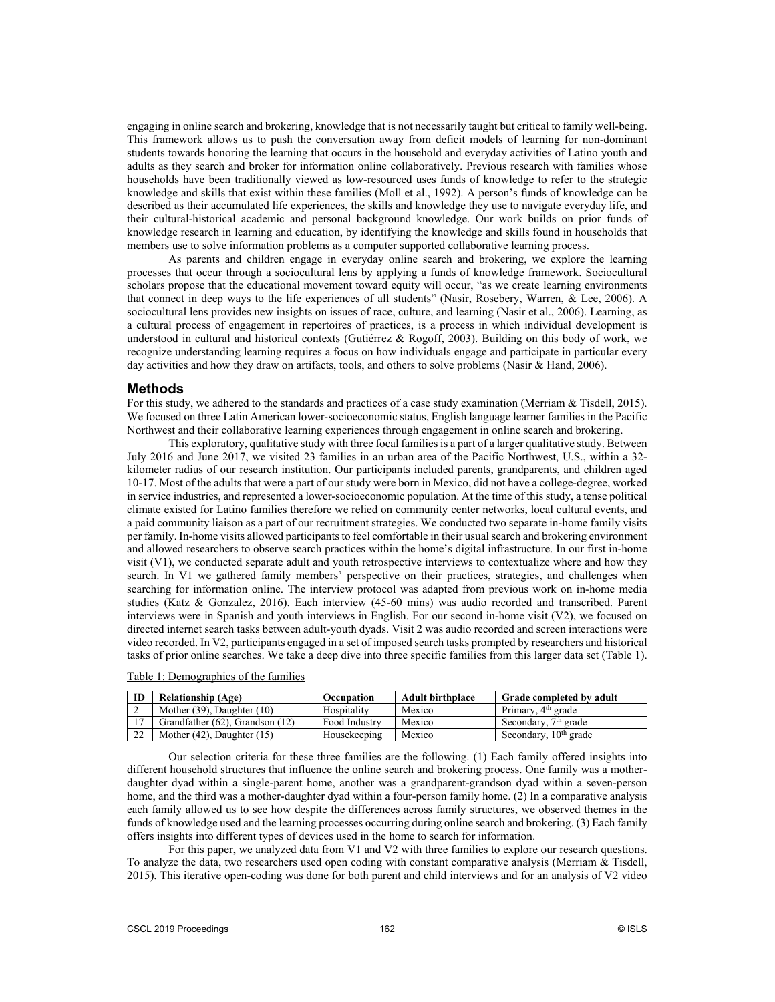engaging in online search and brokering, knowledge that is not necessarily taught but critical to family well-being. This framework allows us to push the conversation away from deficit models of learning for non-dominant students towards honoring the learning that occurs in the household and everyday activities of Latino youth and adults as they search and broker for information online collaboratively. Previous research with families whose households have been traditionally viewed as low-resourced uses funds of knowledge to refer to the strategic knowledge and skills that exist within these families (Moll et al., 1992). A person's funds of knowledge can be described as their accumulated life experiences, the skills and knowledge they use to navigate everyday life, and their cultural-historical academic and personal background knowledge. Our work builds on prior funds of knowledge research in learning and education, by identifying the knowledge and skills found in households that members use to solve information problems as a computer supported collaborative learning process.

As parents and children engage in everyday online search and brokering, we explore the learning processes that occur through a sociocultural lens by applying a funds of knowledge framework. Sociocultural scholars propose that the educational movement toward equity will occur, "as we create learning environments that connect in deep ways to the life experiences of all students" (Nasir, Rosebery, Warren, & Lee, 2006). A sociocultural lens provides new insights on issues of race, culture, and learning (Nasir et al., 2006). Learning, as a cultural process of engagement in repertoires of practices, is a process in which individual development is understood in cultural and historical contexts (Gutiérrez & Rogoff, 2003). Building on this body of work, we recognize understanding learning requires a focus on how individuals engage and participate in particular every day activities and how they draw on artifacts, tools, and others to solve problems (Nasir & Hand, 2006).

## **Methods**

For this study, we adhered to the standards and practices of a case study examination (Merriam & Tisdell, 2015). We focused on three Latin American lower-socioeconomic status, English language learner families in the Pacific Northwest and their collaborative learning experiences through engagement in online search and brokering.

This exploratory, qualitative study with three focal families is a part of a larger qualitative study. Between July 2016 and June 2017, we visited 23 families in an urban area of the Pacific Northwest, U.S., within a 32 kilometer radius of our research institution. Our participants included parents, grandparents, and children aged 10-17. Most of the adults that were a part of our study were born in Mexico, did not have a college-degree, worked in service industries, and represented a lower-socioeconomic population. At the time of this study, a tense political climate existed for Latino families therefore we relied on community center networks, local cultural events, and a paid community liaison as a part of our recruitment strategies. We conducted two separate in-home family visits per family. In-home visits allowed participants to feel comfortable in their usual search and brokering environment and allowed researchers to observe search practices within the home's digital infrastructure. In our first in-home visit (V1), we conducted separate adult and youth retrospective interviews to contextualize where and how they search. In V1 we gathered family members' perspective on their practices, strategies, and challenges when searching for information online. The interview protocol was adapted from previous work on in-home media studies (Katz & Gonzalez, 2016). Each interview (45-60 mins) was audio recorded and transcribed. Parent interviews were in Spanish and youth interviews in English. For our second in-home visit (V2), we focused on directed internet search tasks between adult-youth dyads. Visit 2 was audio recorded and screen interactions were video recorded. In V2, participants engaged in a set of imposed search tasks prompted by researchers and historical tasks of prior online searches. We take a deep dive into three specific families from this larger data set (Table 1).

Table 1: Demographics of the families

| ID             | <b>Relationship (Age)</b>       | Occupation    | <b>Adult birthplace</b> | <b>Grade completed by adult</b>   |
|----------------|---------------------------------|---------------|-------------------------|-----------------------------------|
| ∠              | Mother $(39)$ , Daughter $(10)$ | Hospitality   | Mexico                  | Primary, 4 <sup>th</sup> grade    |
| $\overline{z}$ | Grandfather (62), Grandson (12) | Food Industry | Mexico                  | Secondary, $7th$ grade            |
| 22             | Mother $(42)$ , Daughter $(15)$ | Housekeeping  | Mexico                  | Secondary, 10 <sup>th</sup> grade |

Our selection criteria for these three families are the following. (1) Each family offered insights into different household structures that influence the online search and brokering process. One family was a motherdaughter dyad within a single-parent home, another was a grandparent-grandson dyad within a seven-person home, and the third was a mother-daughter dyad within a four-person family home. (2) In a comparative analysis each family allowed us to see how despite the differences across family structures, we observed themes in the funds of knowledge used and the learning processes occurring during online search and brokering. (3) Each family offers insights into different types of devices used in the home to search for information.

For this paper, we analyzed data from V1 and V2 with three families to explore our research questions. To analyze the data, two researchers used open coding with constant comparative analysis (Merriam  $\&$  Tisdell, 2015). This iterative open-coding was done for both parent and child interviews and for an analysis of V2 video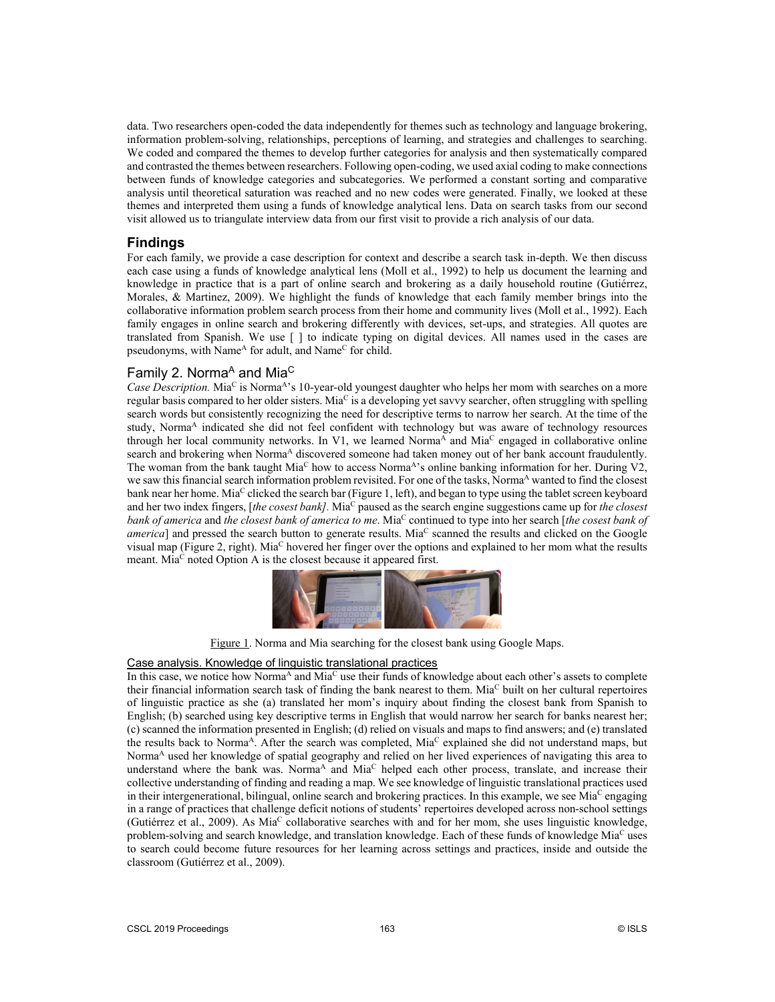data. Two researchers open-coded the data independently for themes such as technology and language brokering, information problem-solving, relationships, perceptions of learning, and strategies and challenges to searching. We coded and compared the themes to develop further categories for analysis and then systematically compared and contrasted the themes between researchers. Following open-coding, we used axial coding to make connections between funds of knowledge categories and subcategories. We performed a constant sorting and comparative analysis until theoretical saturation was reached and no new codes were generated. Finally, we looked at these themes and interpreted them using a funds of knowledge analytical lens. Data on search tasks from our second visit allowed us to triangulate interview data from our first visit to provide a rich analysis of our data.

## **Findings**

For each family, we provide a case description for context and describe a search task in-depth. We then discuss each case using a funds of knowledge analytical lens (Moll et al., 1992) to help us document the learning and knowledge in practice that is a part of online search and brokering as a daily household routine (Gutiérrez, Morales, & Martinez, 2009). We highlight the funds of knowledge that each family member brings into the collaborative information problem search process from their home and community lives (Moll et al., 1992). Each family engages in online search and brokering differently with devices, set-ups, and strategies. All quotes are translated from Spanish. We use [ ] to indicate typing on digital devices. All names used in the cases are pseudonyms, with Name<sup>A</sup> for adult, and Name<sup>C</sup> for child.

## Family 2. Norma<sup>A</sup> and Mia<sup>C</sup>

*Case Description.* Mia<sup>C</sup> is Norma<sup>A</sup>'s 10-year-old youngest daughter who helps her mom with searches on a more regular basis compared to her older sisters. Mia<sup>C</sup> is a developing yet savvy searcher, often struggling with spelling search words but consistently recognizing the need for descriptive terms to narrow her search. At the time of the study, Norma<sup>A</sup> indicated she did not feel confident with technology but was aware of technology resources through her local community networks. In V1, we learned Norma<sup>A</sup> and Mia<sup>C</sup> engaged in collaborative online search and brokering when Norma<sup>A</sup> discovered someone had taken money out of her bank account fraudulently. The woman from the bank taught Mia<sup>C</sup> how to access Norma<sup>A</sup>'s online banking information for her. During V2, we saw this financial search information problem revisited. For one of the tasks, Norma<sup>A</sup> wanted to find the closest bank near her home. Mia<sup>C</sup> clicked the search bar (Figure 1, left), and began to type using the tablet screen keyboard and her two index fingers, [*the cosest bank]*. Mia<sup>C</sup> paused as the search engine suggestions came up for *the closest bank of america* and *the closest bank of america to me.* Mia<sup>C</sup> continued to type into her search [*the cosest bank of america*] and pressed the search button to generate results. Mia<sup>C</sup> scanned the results and clicked on the Google visual map (Figure 2, right). MiaC hovered her finger over the options and explained to her mom what the results meant. Mia<sup>C</sup> noted Option A is the closest because it appeared first.



Figure 1. Norma and Mia searching for the closest bank using Google Maps.

#### Case analysis. Knowledge of linguistic translational practices

In this case, we notice how Norma<sup>A</sup> and Mia<sup>C</sup> use their funds of knowledge about each other's assets to complete their financial information search task of finding the bank nearest to them. Mia<sup>C</sup> built on her cultural repertoires of linguistic practice as she (a) translated her mom's inquiry about finding the closest bank from Spanish to English; (b) searched using key descriptive terms in English that would narrow her search for banks nearest her; (c) scanned the information presented in English; (d) relied on visuals and maps to find answers; and (e) translated the results back to Norma<sup>A</sup>. After the search was completed, Mia<sup>C</sup> explained she did not understand maps, but Norma<sup>A</sup> used her knowledge of spatial geography and relied on her lived experiences of navigating this area to understand where the bank was. Norma<sup>A</sup> and Mia<sup>C</sup> helped each other process, translate, and increase their collective understanding of finding and reading a map. We see knowledge of linguistic translational practices used in their intergenerational, bilingual, online search and brokering practices. In this example, we see Mia<sup>C</sup> engaging in a range of practices that challenge deficit notions of students' repertoires developed across non-school settings (Gutiérrez et al., 2009). As MiaC collaborative searches with and for her mom, she uses linguistic knowledge, problem-solving and search knowledge, and translation knowledge. Each of these funds of knowledge Mia<sup>C</sup> uses to search could become future resources for her learning across settings and practices, inside and outside the classroom (Gutiérrez et al., 2009).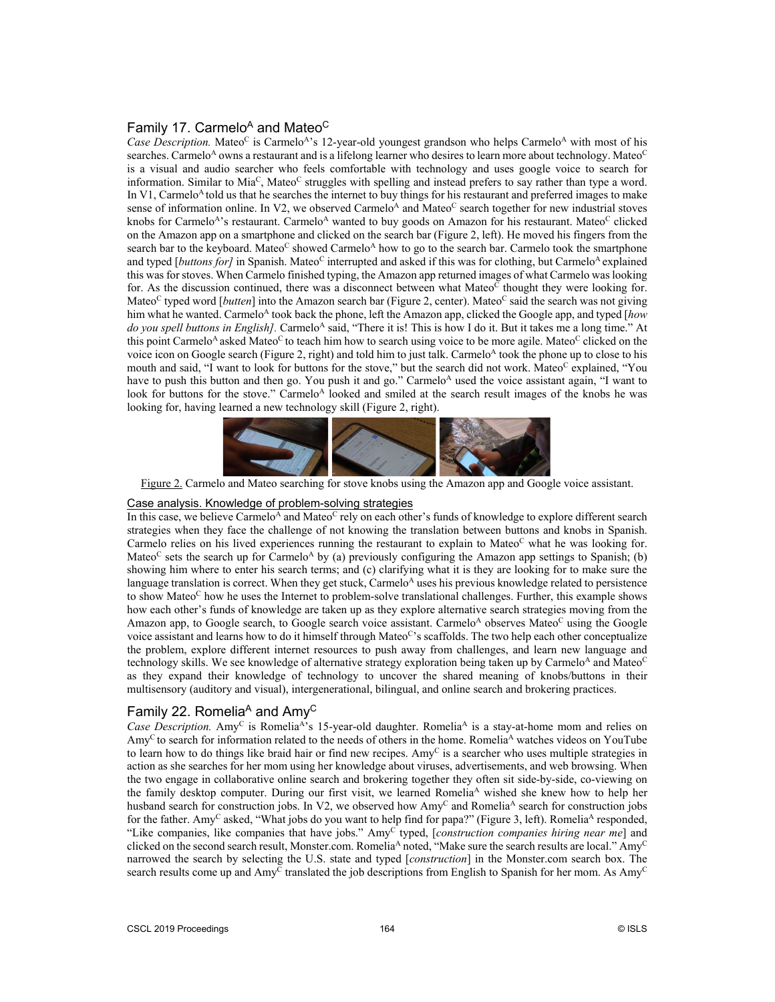## Family 17. Carmelo<sup>A</sup> and Mateo<sup>C</sup>

*Case Description.* Mateo<sup>C</sup> is Carmelo<sup>A</sup>'s 12-year-old youngest grandson who helps Carmelo<sup>A</sup> with most of his searches. Carmelo<sup>A</sup> owns a restaurant and is a lifelong learner who desires to learn more about technology. Mateo<sup>C</sup> is a visual and audio searcher who feels comfortable with technology and uses google voice to search for information. Similar to  $Mia^C$ , Mateo<sup>C</sup> struggles with spelling and instead prefers to say rather than type a word. In V1, Carmelo<sup>A</sup> told us that he searches the internet to buy things for his restaurant and preferred images to make sense of information online. In V2, we observed Carmelo<sup>A</sup> and Mateo<sup>C</sup> search together for new industrial stoves knobs for Carmelo<sup>A</sup>'s restaurant. Carmelo<sup>A</sup> wanted to buy goods on Amazon for his restaurant. Mateo<sup>C</sup> clicked on the Amazon app on a smartphone and clicked on the search bar (Figure 2, left). He moved his fingers from the search bar to the keyboard. Mateo<sup>C</sup> showed Carmelo<sup>A</sup> how to go to the search bar. Carmelo took the smartphone and typed [*buttons for]* in Spanish. Mateo<sup>C</sup> interrupted and asked if this was for clothing, but Carmelo<sup>A</sup> explained this was for stoves. When Carmelo finished typing, the Amazon app returned images of what Carmelo waslooking for. As the discussion continued, there was a disconnect between what Mateo<sup>C</sup> thought they were looking for. Mateo<sup>C</sup> typed word [*butten*] into the Amazon search bar (Figure 2, center). Mateo<sup>C</sup> said the search was not giving him what he wanted. Carmelo<sup>A</sup> took back the phone, left the Amazon app, clicked the Google app, and typed [*how* do you spell buttons in English]. Carmelo<sup>A</sup> said, "There it is! This is how I do it. But it takes me a long time." At this point Carmelo<sup>A</sup> asked Mateo<sup>C</sup> to teach him how to search using voice to be more agile. Mateo<sup>C</sup> clicked on the voice icon on Google search (Figure 2, right) and told him to just talk. Carmelo<sup>A</sup> took the phone up to close to his mouth and said, "I want to look for buttons for the stove," but the search did not work. Mateo<sup>c</sup> explained, "You have to push this button and then go. You push it and go." Carmelo<sup>A</sup> used the voice assistant again, "I want to look for buttons for the stove." Carmelo<sup>A</sup> looked and smiled at the search result images of the knobs he was looking for, having learned a new technology skill (Figure 2, right).



Figure 2. Carmelo and Mateo searching for stove knobs using the Amazon app and Google voice assistant.

### Case analysis. Knowledge of problem-solving strategies

In this case, we believe Carmelo<sup>A</sup> and Mateo<sup>C</sup> rely on each other's funds of knowledge to explore different search strategies when they face the challenge of not knowing the translation between buttons and knobs in Spanish. Carmelo relies on his lived experiences running the restaurant to explain to Mateo<sup>C</sup> what he was looking for. Mateo<sup>C</sup> sets the search up for Carmelo<sup>A</sup> by (a) previously configuring the Amazon app settings to Spanish; (b) showing him where to enter his search terms; and (c) clarifying what it is they are looking for to make sure the language translation is correct. When they get stuck, Carmelo<sup>A</sup> uses his previous knowledge related to persistence to show Mateo<sup>C</sup> how he uses the Internet to problem-solve translational challenges. Further, this example shows how each other's funds of knowledge are taken up as they explore alternative search strategies moving from the Amazon app, to Google search, to Google search voice assistant. Carmelo<sup>A</sup> observes Mateo<sup>C</sup> using the Google voice assistant and learns how to do it himself through Mateo<sup>c</sup>'s scaffolds. The two help each other conceptualize the problem, explore different internet resources to push away from challenges, and learn new language and technology skills. We see knowledge of alternative strategy exploration being taken up by Carmelo<sup>A</sup> and Mateo<sup>C</sup> as they expand their knowledge of technology to uncover the shared meaning of knobs/buttons in their multisensory (auditory and visual), intergenerational, bilingual, and online search and brokering practices.

## Family 22. Romelia<sup>A</sup> and  $Amv^C$

*Case Description.* Amy<sup>C</sup> is Romelia<sup>A</sup>'s 15-year-old daughter. Romelia<sup>A</sup> is a stay-at-home mom and relies on Amy<sup>C</sup> to search for information related to the needs of others in the home. Romelia<sup>A</sup> watches videos on YouTube to learn how to do things like braid hair or find new recipes. Amy<sup>C</sup> is a searcher who uses multiple strategies in action as she searches for her mom using her knowledge about viruses, advertisements, and web browsing. When the two engage in collaborative online search and brokering together they often sit side-by-side, co-viewing on the family desktop computer. During our first visit, we learned Romelia<sup>A</sup> wished she knew how to help her husband search for construction jobs. In V2, we observed how Amy<sup>C</sup> and Romelia<sup>A</sup> search for construction jobs for the father. Amy<sup>C</sup> asked, "What jobs do you want to help find for papa?" (Figure 3, left). Romelia<sup>A</sup> responded, "Like companies, like companies that have jobs." AmyC typed, [*construction companies hiring near me*] and clicked on the second search result, Monster.com. Romelia<sup>A</sup> noted, "Make sure the search results are local." Amy<sup>C</sup> narrowed the search by selecting the U.S. state and typed [*construction*] in the Monster.com search box. The search results come up and Amy<sup>C</sup> translated the job descriptions from English to Spanish for her mom. As Amy<sup>C</sup>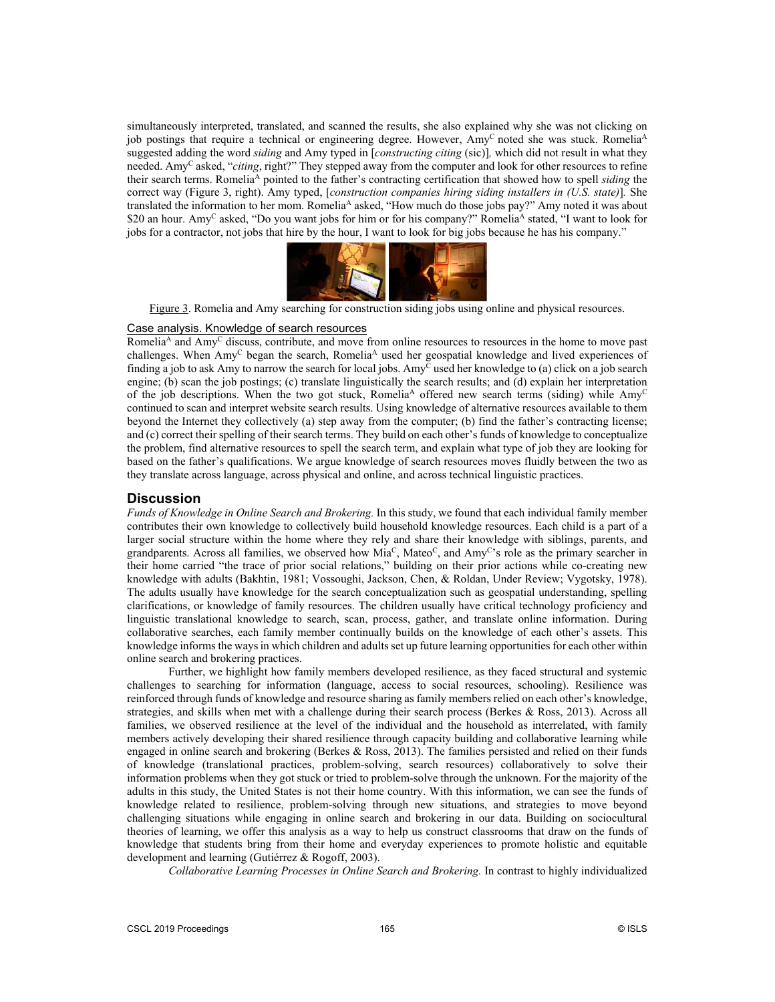simultaneously interpreted, translated, and scanned the results, she also explained why she was not clicking on job postings that require a technical or engineering degree. However, Amy<sup>C</sup> noted she was stuck. Romelia<sup>A</sup> suggested adding the word *siding* and Amy typed in [*constructing citing* (sic)]*,* which did not result in what they needed. AmyC asked, "*citing*, right?" They stepped away from the computer and look for other resources to refine their search terms. RomeliaA pointed to the father's contracting certification that showed how to spell *siding* the correct way (Figure 3, right). Amy typed, [*construction companies hiring siding installers in (U.S. state)*]*.* She translated the information to her mom. Romelia<sup>A</sup> asked, "How much do those jobs pay?" Amy noted it was about \$20 an hour. Amy<sup>C</sup> asked, "Do you want jobs for him or for his company?" Romelia<sup>A</sup> stated, "I want to look for jobs for a contractor, not jobs that hire by the hour, I want to look for big jobs because he has his company."



Figure 3. Romelia and Amy searching for construction siding jobs using online and physical resources.

### Case analysis. Knowledge of search resources

Romelia<sup>A</sup> and Amy<sup>C</sup> discuss, contribute, and move from online resources to resources in the home to move past challenges. When Amy<sup>C</sup> began the search, Romelia<sup>A</sup> used her geospatial knowledge and lived experiences of finding a job to ask Amy to narrow the search for local jobs. Amy  $\bar{c}$  used her knowledge to (a) click on a job search engine; (b) scan the job postings; (c) translate linguistically the search results; and (d) explain her interpretation of the job descriptions. When the two got stuck, Romelia<sup>A</sup> offered new search terms (siding) while  $\text{Amv}^C$ continued to scan and interpret website search results. Using knowledge of alternative resources available to them beyond the Internet they collectively (a) step away from the computer; (b) find the father's contracting license; and (c) correct their spelling of their search terms. They build on each other's funds of knowledge to conceptualize the problem, find alternative resources to spell the search term, and explain what type of job they are looking for based on the father's qualifications. We argue knowledge of search resources moves fluidly between the two as they translate across language, across physical and online, and across technical linguistic practices.

#### **Discussion**

*Funds of Knowledge in Online Search and Brokering.* In this study, we found that each individual family member contributes their own knowledge to collectively build household knowledge resources. Each child is a part of a larger social structure within the home where they rely and share their knowledge with siblings, parents, and grandparents. Across all families, we observed how  $Mia^C$ , Mateo<sup>c</sup>, and Amy<sup>C</sup>'s role as the primary searcher in their home carried "the trace of prior social relations," building on their prior actions while co-creating new knowledge with adults (Bakhtin, 1981; Vossoughi, Jackson, Chen, & Roldan, Under Review; Vygotsky, 1978). The adults usually have knowledge for the search conceptualization such as geospatial understanding, spelling clarifications, or knowledge of family resources. The children usually have critical technology proficiency and linguistic translational knowledge to search, scan, process, gather, and translate online information. During collaborative searches, each family member continually builds on the knowledge of each other's assets. This knowledge informs the ways in which children and adults set up future learning opportunities for each other within online search and brokering practices.

Further, we highlight how family members developed resilience, as they faced structural and systemic challenges to searching for information (language, access to social resources, schooling). Resilience was reinforced through funds of knowledge and resource sharing as family members relied on each other's knowledge, strategies, and skills when met with a challenge during their search process (Berkes & Ross, 2013). Across all families, we observed resilience at the level of the individual and the household as interrelated, with family members actively developing their shared resilience through capacity building and collaborative learning while engaged in online search and brokering (Berkes & Ross, 2013). The families persisted and relied on their funds of knowledge (translational practices, problem-solving, search resources) collaboratively to solve their information problems when they got stuck or tried to problem-solve through the unknown. For the majority of the adults in this study, the United States is not their home country. With this information, we can see the funds of knowledge related to resilience, problem-solving through new situations, and strategies to move beyond challenging situations while engaging in online search and brokering in our data. Building on sociocultural theories of learning, we offer this analysis as a way to help us construct classrooms that draw on the funds of knowledge that students bring from their home and everyday experiences to promote holistic and equitable development and learning (Gutiérrez & Rogoff, 2003).

*Collaborative Learning Processes in Online Search and Brokering.* In contrast to highly individualized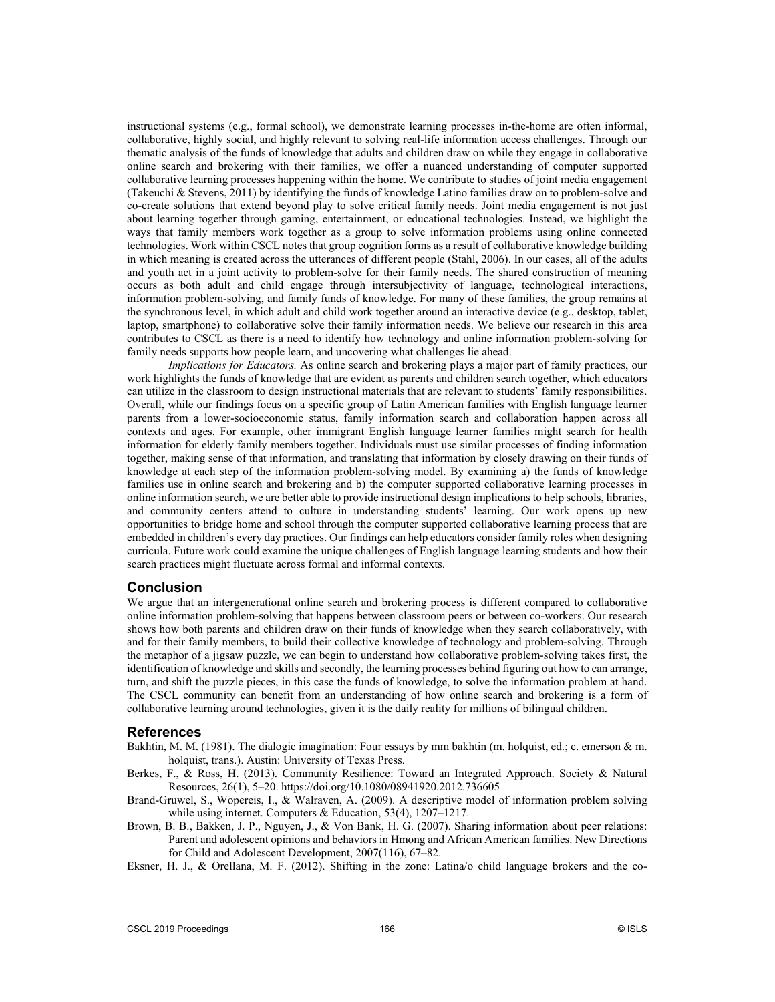instructional systems (e.g., formal school), we demonstrate learning processes in-the-home are often informal, collaborative, highly social, and highly relevant to solving real-life information access challenges. Through our thematic analysis of the funds of knowledge that adults and children draw on while they engage in collaborative online search and brokering with their families, we offer a nuanced understanding of computer supported collaborative learning processes happening within the home. We contribute to studies of joint media engagement (Takeuchi & Stevens, 2011) by identifying the funds of knowledge Latino families draw on to problem-solve and co-create solutions that extend beyond play to solve critical family needs. Joint media engagement is not just about learning together through gaming, entertainment, or educational technologies. Instead, we highlight the ways that family members work together as a group to solve information problems using online connected technologies. Work within CSCL notes that group cognition forms as a result of collaborative knowledge building in which meaning is created across the utterances of different people (Stahl, 2006). In our cases, all of the adults and youth act in a joint activity to problem-solve for their family needs. The shared construction of meaning occurs as both adult and child engage through intersubjectivity of language, technological interactions, information problem-solving, and family funds of knowledge. For many of these families, the group remains at the synchronous level, in which adult and child work together around an interactive device (e.g., desktop, tablet, laptop, smartphone) to collaborative solve their family information needs. We believe our research in this area contributes to CSCL as there is a need to identify how technology and online information problem-solving for family needs supports how people learn, and uncovering what challenges lie ahead.

*Implications for Educators.* As online search and brokering plays a major part of family practices, our work highlights the funds of knowledge that are evident as parents and children search together, which educators can utilize in the classroom to design instructional materials that are relevant to students' family responsibilities. Overall, while our findings focus on a specific group of Latin American families with English language learner parents from a lower-socioeconomic status, family information search and collaboration happen across all contexts and ages. For example, other immigrant English language learner families might search for health information for elderly family members together. Individuals must use similar processes of finding information together, making sense of that information, and translating that information by closely drawing on their funds of knowledge at each step of the information problem-solving model. By examining a) the funds of knowledge families use in online search and brokering and b) the computer supported collaborative learning processes in online information search, we are better able to provide instructional design implications to help schools, libraries, and community centers attend to culture in understanding students' learning. Our work opens up new opportunities to bridge home and school through the computer supported collaborative learning process that are embedded in children's every day practices. Our findings can help educators consider family roles when designing curricula. Future work could examine the unique challenges of English language learning students and how their search practices might fluctuate across formal and informal contexts.

### **Conclusion**

We argue that an intergenerational online search and brokering process is different compared to collaborative online information problem-solving that happens between classroom peers or between co-workers. Our research shows how both parents and children draw on their funds of knowledge when they search collaboratively, with and for their family members, to build their collective knowledge of technology and problem-solving. Through the metaphor of a jigsaw puzzle, we can begin to understand how collaborative problem-solving takes first, the identification of knowledge and skills and secondly, the learning processes behind figuring out how to can arrange, turn, and shift the puzzle pieces, in this case the funds of knowledge, to solve the information problem at hand. The CSCL community can benefit from an understanding of how online search and brokering is a form of collaborative learning around technologies, given it is the daily reality for millions of bilingual children.

### **References**

- Bakhtin, M. M. (1981). The dialogic imagination: Four essays by mm bakhtin (m. holquist, ed.; c. emerson & m. holquist, trans.). Austin: University of Texas Press.
- Berkes, F., & Ross, H. (2013). Community Resilience: Toward an Integrated Approach. Society & Natural Resources, 26(1), 5–20. https://doi.org/10.1080/08941920.2012.736605
- Brand-Gruwel, S., Wopereis, I., & Walraven, A. (2009). A descriptive model of information problem solving while using internet. Computers & Education, 53(4), 1207–1217.
- Brown, B. B., Bakken, J. P., Nguyen, J., & Von Bank, H. G. (2007). Sharing information about peer relations: Parent and adolescent opinions and behaviors in Hmong and African American families. New Directions for Child and Adolescent Development, 2007(116), 67–82.
- Eksner, H. J., & Orellana, M. F. (2012). Shifting in the zone: Latina/o child language brokers and the co-